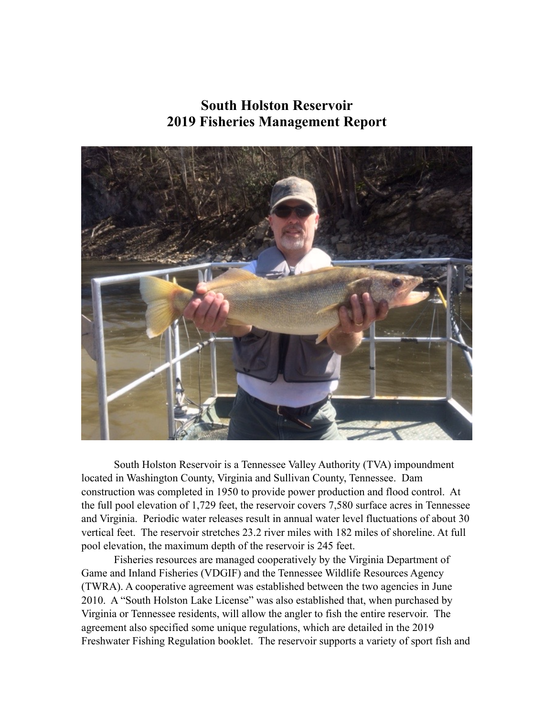# **South Holston Reservoir 2019 Fisheries Management Report**



South Holston Reservoir is a Tennessee Valley Authority (TVA) impoundment located in Washington County, Virginia and Sullivan County, Tennessee. Dam construction was completed in 1950 to provide power production and flood control. At the full pool elevation of 1,729 feet, the reservoir covers 7,580 surface acres in Tennessee and Virginia. Periodic water releases result in annual water level fluctuations of about 30 vertical feet. The reservoir stretches 23.2 river miles with 182 miles of shoreline. At full pool elevation, the maximum depth of the reservoir is 245 feet.

Fisheries resources are managed cooperatively by the Virginia Department of Game and Inland Fisheries (VDGIF) and the Tennessee Wildlife Resources Agency (TWRA). A cooperative agreement was established between the two agencies in June 2010. A "South Holston Lake License" was also established that, when purchased by Virginia or Tennessee residents, will allow the angler to fish the entire reservoir. The agreement also specified some unique regulations, which are detailed in the 2019 Freshwater Fishing Regulation booklet. The reservoir supports a variety of sport fish and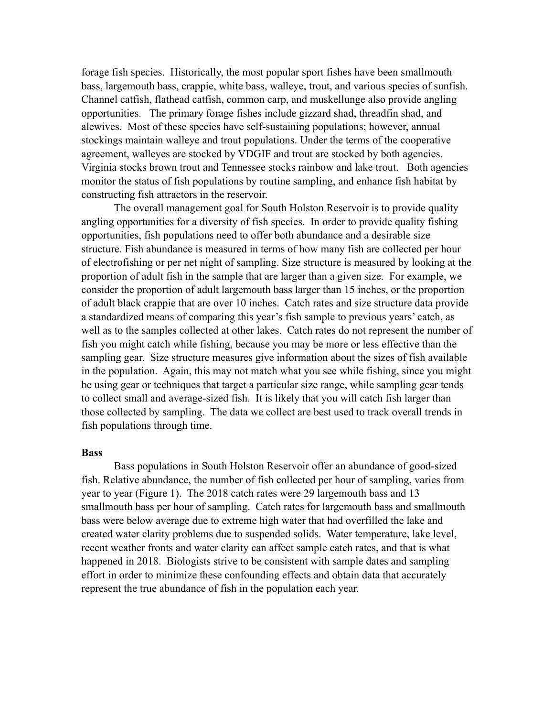forage fish species. Historically, the most popular sport fishes have been smallmouth bass, largemouth bass, crappie, white bass, walleye, trout, and various species of sunfish. Channel catfish, flathead catfish, common carp, and muskellunge also provide angling opportunities. The primary forage fishes include gizzard shad, threadfin shad, and alewives. Most of these species have self-sustaining populations; however, annual stockings maintain walleye and trout populations. Under the terms of the cooperative agreement, walleyes are stocked by VDGIF and trout are stocked by both agencies. Virginia stocks brown trout and Tennessee stocks rainbow and lake trout. Both agencies monitor the status of fish populations by routine sampling, and enhance fish habitat by constructing fish attractors in the reservoir.

The overall management goal for South Holston Reservoir is to provide quality angling opportunities for a diversity of fish species. In order to provide quality fishing opportunities, fish populations need to offer both abundance and a desirable size structure. Fish abundance is measured in terms of how many fish are collected per hour of electrofishing or per net night of sampling. Size structure is measured by looking at the proportion of adult fish in the sample that are larger than a given size. For example, we consider the proportion of adult largemouth bass larger than 15 inches, or the proportion of adult black crappie that are over 10 inches. Catch rates and size structure data provide a standardized means of comparing this year's fish sample to previous years' catch, as well as to the samples collected at other lakes. Catch rates do not represent the number of fish you might catch while fishing, because you may be more or less effective than the sampling gear. Size structure measures give information about the sizes of fish available in the population. Again, this may not match what you see while fishing, since you might be using gear or techniques that target a particular size range, while sampling gear tends to collect small and average-sized fish. It is likely that you will catch fish larger than those collected by sampling. The data we collect are best used to track overall trends in fish populations through time.

#### **Bass**

Bass populations in South Holston Reservoir offer an abundance of good-sized fish. Relative abundance, the number of fish collected per hour of sampling, varies from year to year (Figure 1). The 2018 catch rates were 29 largemouth bass and 13 smallmouth bass per hour of sampling. Catch rates for largemouth bass and smallmouth bass were below average due to extreme high water that had overfilled the lake and created water clarity problems due to suspended solids. Water temperature, lake level, recent weather fronts and water clarity can affect sample catch rates, and that is what happened in 2018. Biologists strive to be consistent with sample dates and sampling effort in order to minimize these confounding effects and obtain data that accurately represent the true abundance of fish in the population each year.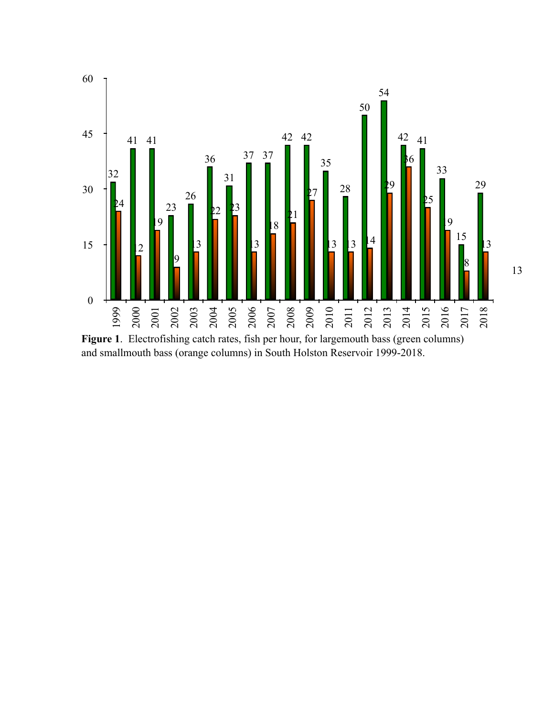

**Figure 1**. Electrofishing catch rates, fish per hour, for largemouth bass (green columns) and smallmouth bass (orange columns) in South Holston Reservoir 1999-2018.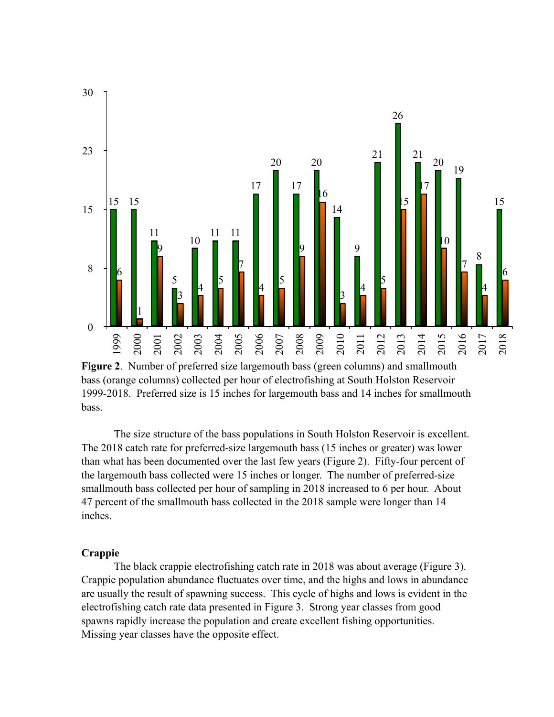

**Figure 2**. Number of preferred size largemouth bass (green columns) and smallmouth bass (orange columns) collected per hour of electrofishing at South Holston Reservoir 1999-2018. Preferred size is 15 inches for largemouth bass and 14 inches for smallmouth bass.

The size structure of the bass populations in South Holston Reservoir is excellent. The 2018 catch rate for preferred-size largemouth bass (15 inches or greater) was lower than what has been documented over the last few years (Figure 2). Fifty-four percent of the largemouth bass collected were 15 inches or longer. The number of preferred-size smallmouth bass collected per hour of sampling in 2018 increased to 6 per hour. About 47 percent of the smallmouth bass collected in the 2018 sample were longer than 14 inches.

#### **Crappie**

The black crappie electrofishing catch rate in 2018 was about average (Figure 3). Crappie population abundance fluctuates over time, and the highs and lows in abundance are usually the result of spawning success. This cycle of highs and lows is evident in the electrofishing catch rate data presented in Figure 3. Strong year classes from good spawns rapidly increase the population and create excellent fishing opportunities. Missing year classes have the opposite effect.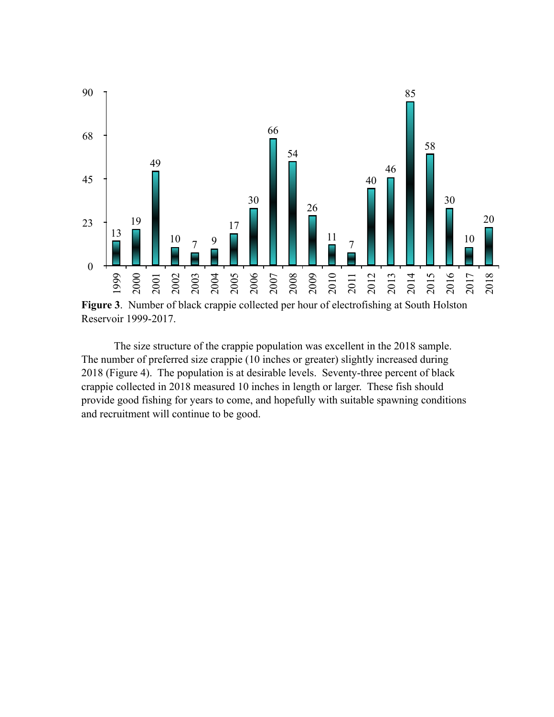

**Figure 3**. Number of black crappie collected per hour of electrofishing at South Holston Reservoir 1999-2017.

The size structure of the crappie population was excellent in the 2018 sample. The number of preferred size crappie (10 inches or greater) slightly increased during 2018 (Figure 4). The population is at desirable levels. Seventy-three percent of black crappie collected in 2018 measured 10 inches in length or larger. These fish should provide good fishing for years to come, and hopefully with suitable spawning conditions and recruitment will continue to be good.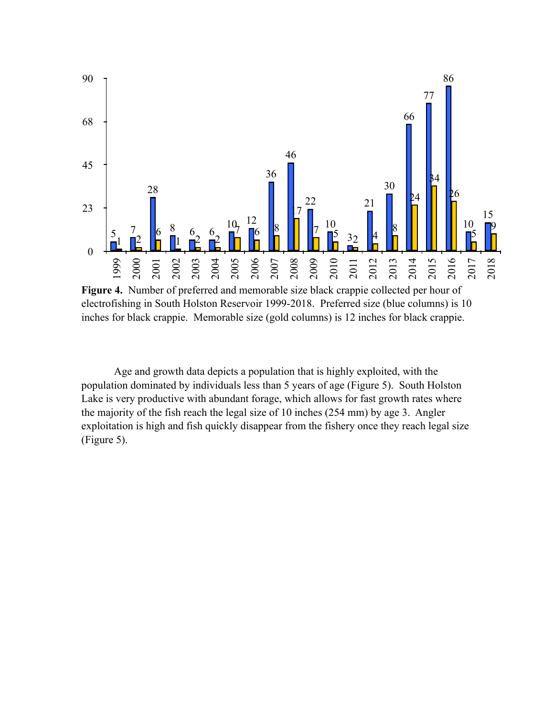

**Figure 4.** Number of preferred and memorable size black crappie collected per hour of electrofishing in South Holston Reservoir 1999-2018. Preferred size (blue columns) is 10 inches for black crappie. Memorable size (gold columns) is 12 inches for black crappie.

 Age and growth data depicts a population that is highly exploited, with the population dominated by individuals less than 5 years of age (Figure 5). South Holston Lake is very productive with abundant forage, which allows for fast growth rates where the majority of the fish reach the legal size of 10 inches (254 mm) by age 3. Angler exploitation is high and fish quickly disappear from the fishery once they reach legal size (Figure 5).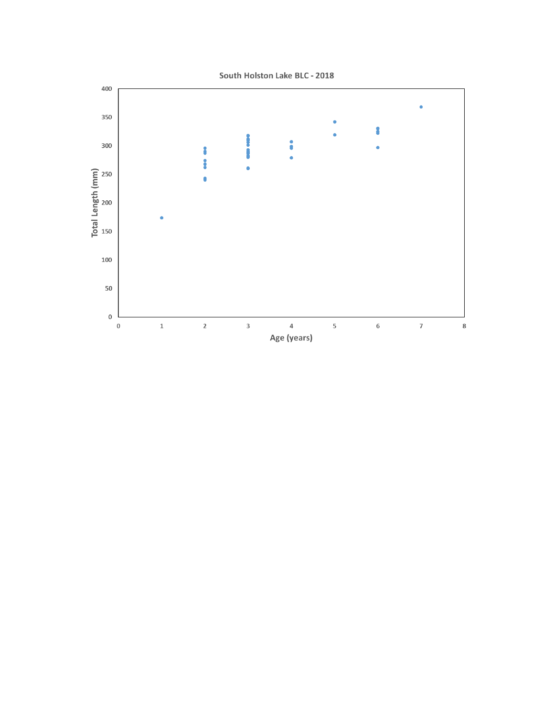

South Holston Lake BLC - 2018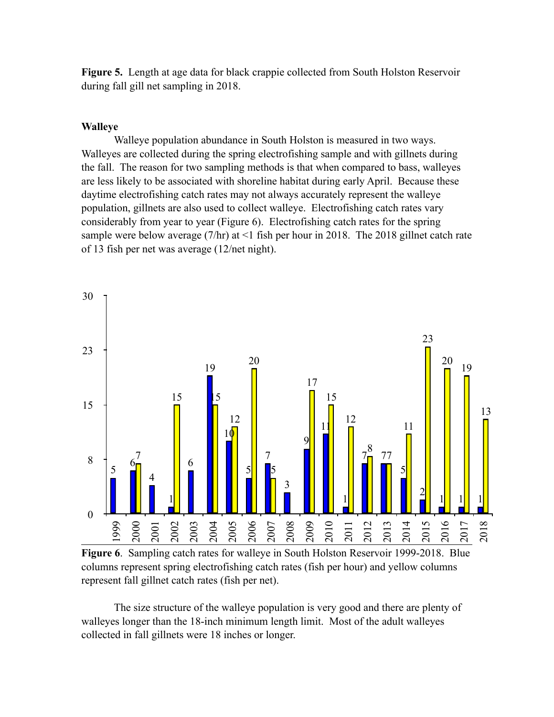**Figure 5.** Length at age data for black crappie collected from South Holston Reservoir during fall gill net sampling in 2018.

### **Walleye**

Walleye population abundance in South Holston is measured in two ways. Walleyes are collected during the spring electrofishing sample and with gillnets during the fall. The reason for two sampling methods is that when compared to bass, walleyes are less likely to be associated with shoreline habitat during early April. Because these daytime electrofishing catch rates may not always accurately represent the walleye population, gillnets are also used to collect walleye. Electrofishing catch rates vary considerably from year to year (Figure 6). Electrofishing catch rates for the spring sample were below average  $(7/hr)$  at  $\leq 1$  fish per hour in 2018. The 2018 gillnet catch rate of 13 fish per net was average (12/net night).



**Figure 6**. Sampling catch rates for walleye in South Holston Reservoir 1999-2018. Blue columns represent spring electrofishing catch rates (fish per hour) and yellow columns represent fall gillnet catch rates (fish per net).

The size structure of the walleye population is very good and there are plenty of walleyes longer than the 18-inch minimum length limit. Most of the adult walleyes collected in fall gillnets were 18 inches or longer.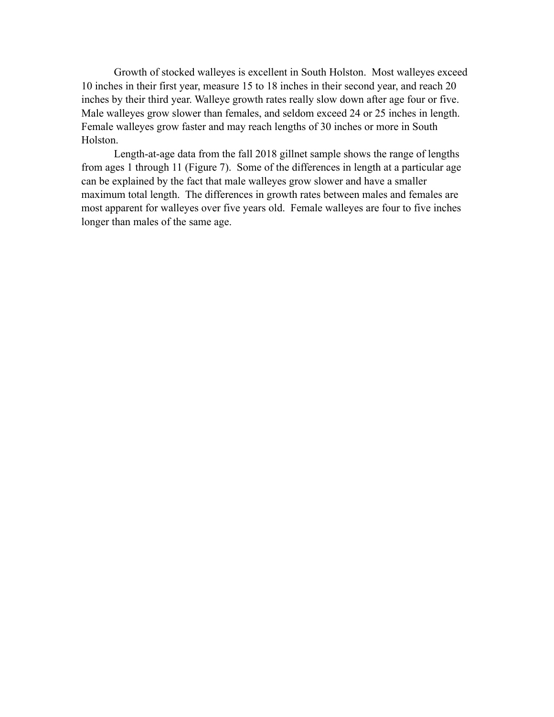Growth of stocked walleyes is excellent in South Holston. Most walleyes exceed 10 inches in their first year, measure 15 to 18 inches in their second year, and reach 20 inches by their third year. Walleye growth rates really slow down after age four or five. Male walleyes grow slower than females, and seldom exceed 24 or 25 inches in length. Female walleyes grow faster and may reach lengths of 30 inches or more in South Holston.

Length-at-age data from the fall 2018 gillnet sample shows the range of lengths from ages 1 through 11 (Figure 7). Some of the differences in length at a particular age can be explained by the fact that male walleyes grow slower and have a smaller maximum total length. The differences in growth rates between males and females are most apparent for walleyes over five years old. Female walleyes are four to five inches longer than males of the same age.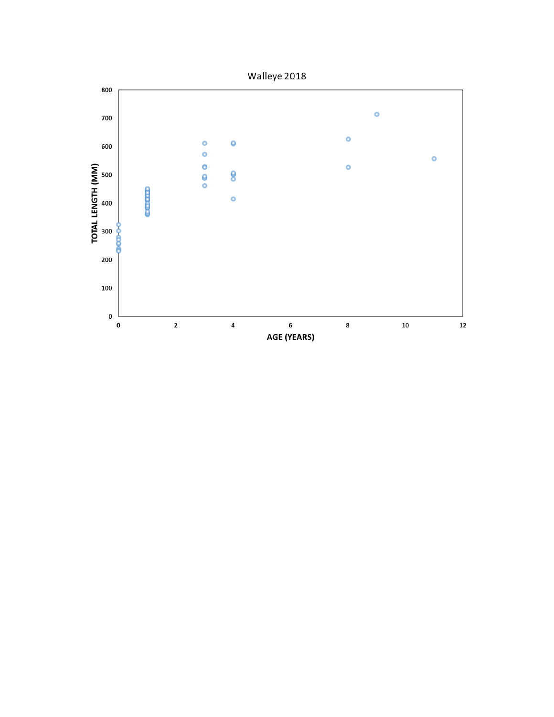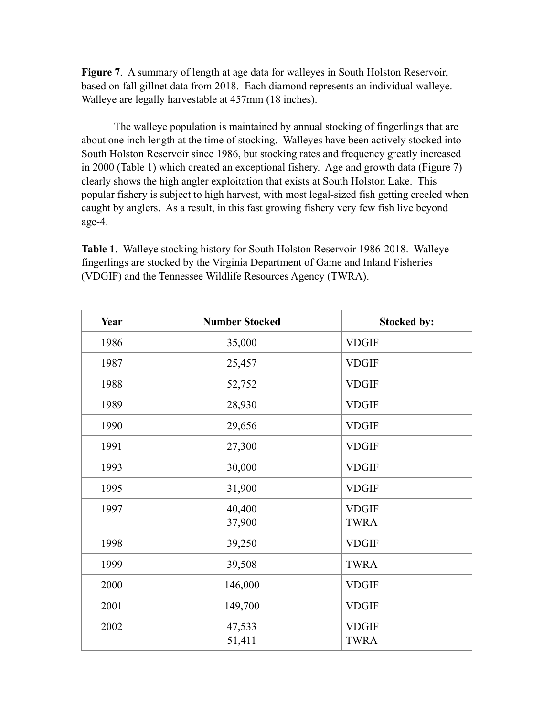**Figure 7**. A summary of length at age data for walleyes in South Holston Reservoir, based on fall gillnet data from 2018. Each diamond represents an individual walleye. Walleye are legally harvestable at 457mm (18 inches).

The walleye population is maintained by annual stocking of fingerlings that are about one inch length at the time of stocking. Walleyes have been actively stocked into South Holston Reservoir since 1986, but stocking rates and frequency greatly increased in 2000 (Table 1) which created an exceptional fishery. Age and growth data (Figure 7) clearly shows the high angler exploitation that exists at South Holston Lake. This popular fishery is subject to high harvest, with most legal-sized fish getting creeled when caught by anglers. As a result, in this fast growing fishery very few fish live beyond age-4.

**Table 1**. Walleye stocking history for South Holston Reservoir 1986-2018. Walleye fingerlings are stocked by the Virginia Department of Game and Inland Fisheries (VDGIF) and the Tennessee Wildlife Resources Agency (TWRA).

| Year | <b>Number Stocked</b> | <b>Stocked by:</b>          |
|------|-----------------------|-----------------------------|
| 1986 | 35,000                | <b>VDGIF</b>                |
| 1987 | 25,457                | <b>VDGIF</b>                |
| 1988 | 52,752                | <b>VDGIF</b>                |
| 1989 | 28,930                | <b>VDGIF</b>                |
| 1990 | 29,656                | <b>VDGIF</b>                |
| 1991 | 27,300                | <b>VDGIF</b>                |
| 1993 | 30,000                | <b>VDGIF</b>                |
| 1995 | 31,900                | <b>VDGIF</b>                |
| 1997 | 40,400<br>37,900      | <b>VDGIF</b><br><b>TWRA</b> |
| 1998 | 39,250                | <b>VDGIF</b>                |
| 1999 | 39,508                | <b>TWRA</b>                 |
| 2000 | 146,000               | <b>VDGIF</b>                |
| 2001 | 149,700               | <b>VDGIF</b>                |
| 2002 | 47,533<br>51,411      | <b>VDGIF</b><br><b>TWRA</b> |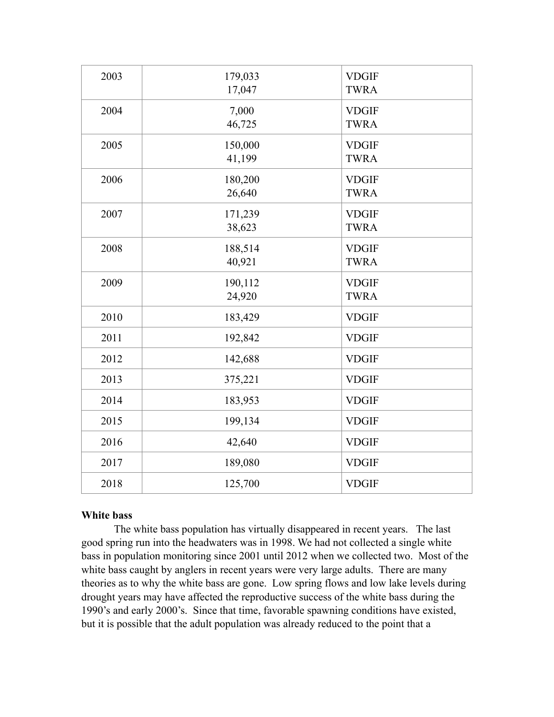| 179,033 | <b>VDGIF</b>                                                                                                              |
|---------|---------------------------------------------------------------------------------------------------------------------------|
|         | <b>TWRA</b>                                                                                                               |
|         | <b>VDGIF</b>                                                                                                              |
|         | <b>TWRA</b>                                                                                                               |
|         |                                                                                                                           |
|         | <b>VDGIF</b>                                                                                                              |
|         | <b>TWRA</b>                                                                                                               |
| 180,200 | <b>VDGIF</b>                                                                                                              |
| 26,640  | <b>TWRA</b>                                                                                                               |
|         | <b>VDGIF</b>                                                                                                              |
|         | <b>TWRA</b>                                                                                                               |
|         |                                                                                                                           |
| 188,514 | <b>VDGIF</b>                                                                                                              |
| 40,921  | <b>TWRA</b>                                                                                                               |
|         | <b>VDGIF</b>                                                                                                              |
|         | <b>TWRA</b>                                                                                                               |
|         |                                                                                                                           |
|         | <b>VDGIF</b>                                                                                                              |
| 192,842 | <b>VDGIF</b>                                                                                                              |
| 142,688 | <b>VDGIF</b>                                                                                                              |
| 375,221 | <b>VDGIF</b>                                                                                                              |
|         | <b>VDGIF</b>                                                                                                              |
|         |                                                                                                                           |
|         | <b>VDGIF</b>                                                                                                              |
| 42,640  | <b>VDGIF</b>                                                                                                              |
| 189,080 | <b>VDGIF</b>                                                                                                              |
| 125,700 | <b>VDGIF</b>                                                                                                              |
|         | 17,047<br>7,000<br>46,725<br>150,000<br>41,199<br>171,239<br>38,623<br>190,112<br>24,920<br>183,429<br>183,953<br>199,134 |

## **White bass**

The white bass population has virtually disappeared in recent years. The last good spring run into the headwaters was in 1998. We had not collected a single white bass in population monitoring since 2001 until 2012 when we collected two. Most of the white bass caught by anglers in recent years were very large adults. There are many theories as to why the white bass are gone. Low spring flows and low lake levels during drought years may have affected the reproductive success of the white bass during the 1990's and early 2000's. Since that time, favorable spawning conditions have existed, but it is possible that the adult population was already reduced to the point that a